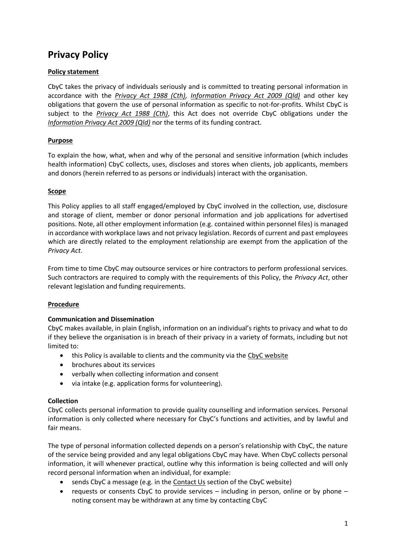# **Privacy Policy**

## **Policy statement**

CbyC takes the privacy of individuals seriously and is committed to treating personal information in accordance with the *[Privacy Act 1988 \(Cth\),](https://www.legislation.gov.au/Details/C2018C00456) [Information Privacy Act 2009 \(Qld\)](https://www.legislation.qld.gov.au/view/html/inforce/current/act-2009-014)* and other key obligations that govern the use of personal information as specific to not-for-profits. Whilst CbyC is subject to the *[Privacy Act 1988 \(Cth\)](https://www.legislation.gov.au/Details/C2018C00456)*, this Act does not override CbyC obligations under the *[Information Privacy Act 2009 \(Qld\)](https://www.legislation.qld.gov.au/view/html/inforce/current/act-2009-014)* nor the terms of its funding contract.

## **Purpose**

To explain the how, what, when and why of the personal and sensitive information (which includes health information) CbyC collects, uses, discloses and stores when clients, job applicants, members and donors (herein referred to as persons or individuals) interact with the organisation.

## **Scope**

This Policy applies to all staff engaged/employed by CbyC involved in the collection, use, disclosure and storage of client, member or donor personal information and job applications for advertised positions. Note, all other employment information (e.g. contained within personnel files) is managed in accordance with workplace laws and not privacy legislation. Records of current and past employees which are directly related to the employment relationship are exempt from the application of the *Privacy Act*.

From time to time CbyC may outsource services or hire contractors to perform professional services. Such contractors are required to comply with the requirements of this Policy, the *Privacy Act*, other relevant legislation and funding requirements.

#### **Procedure**

## **Communication and Dissemination**

CbyC makes available, in plain English, information on an individual's rights to privacy and what to do if they believe the organisation is in breach of their privacy in a variety of formats, including but not limited to:

- this Policy is available to clients and the community via the [CbyC website](https://www.childrenbychoice.org.au/privacy-policy)
- brochures about its services
- verbally when collecting information and consent
- via intake (e.g. application forms for volunteering).

#### **Collection**

CbyC collects personal information to provide quality counselling and information services. Personal information is only collected where necessary for CbyC's functions and activities, and by lawful and fair means.

The type of personal information collected depends on a person's relationship with CbyC, the nature of the service being provided and any legal obligations CbyC may have. When CbyC collects personal information, it will whenever practical, outline why this information is being collected and will only record personal information when an individual, for example:

- sends CbyC a message (e.g. in the **Contact Us** section of the CbyC website)
- requests or consents CbyC to provide services including in person, online or by phone noting consent may be withdrawn at any time by contacting CbyC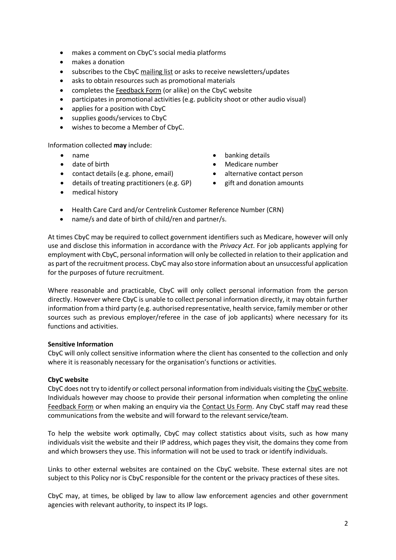- makes a comment on CbyC's social media platforms
- makes a donation
- subscribes to the CbyC [mailing list](https://www.childrenbychoice.org.au/support-us) or asks to receive newsletters/updates
- asks to obtain resources such as promotional materials
- completes the [Feedback Form](https://www.childrenbychoice.org.au/feedback) (or alike) on the CbyC website
- participates in promotional activities (e.g. publicity shoot or other audio visual)
- applies for a position with CbyC
- supplies goods/services to CbyC
- wishes to become a Member of CbyC.

Information collected **may** include:

- name
- date of birth
- contact details (e.g. phone, email)
- details of treating practitioners (e.g. GP)
- banking details
- Medicare number
- alternative contact person
- gift and donation amounts

- medical history
- Health Care Card and/or Centrelink Customer Reference Number (CRN)
- name/s and date of birth of child/ren and partner/s.

At times CbyC may be required to collect government identifiers such as Medicare, however will only use and disclose this information in accordance with the *Privacy Act*. For job applicants applying for employment with CbyC, personal information will only be collected in relation to their application and as part of the recruitment process. CbyC may also store information about an unsuccessful application for the purposes of future recruitment.

Where reasonable and practicable, CbyC will only collect personal information from the person directly. However where CbyC is unable to collect personal information directly, it may obtain further information from a third party (e.g. authorised representative, health service, family member or other sources such as previous employer/referee in the case of job applicants) where necessary for its functions and activities.

#### **Sensitive Information**

CbyC will only collect sensitive information where the client has consented to the collection and only where it is reasonably necessary for the organisation's functions or activities.

#### **CbyC website**

CbyC does not try to identify or collect personal information from individuals visiting the [CbyC website.](https://www.childrenbychoice.org.au/) Individuals however may choose to provide their personal information when completing the online [Feedback Form](https://www.childrenbychoice.org.au/feedback) or when making an enquiry via the [Contact Us Form.](https://www.childrenbychoice.org.au/contact) Any CbyC staff may read these communications from the website and will forward to the relevant service/team.

To help the website work optimally, CbyC may collect statistics about visits, such as how many individuals visit the website and their IP address, which pages they visit, the domains they come from and which browsers they use. This information will not be used to track or identify individuals.

Links to other external websites are contained on the CbyC website. These external sites are not subject to this Policy nor is CbyC responsible for the content or the privacy practices of these sites.

CbyC may, at times, be obliged by law to allow law enforcement agencies and other government agencies with relevant authority, to inspect its IP logs.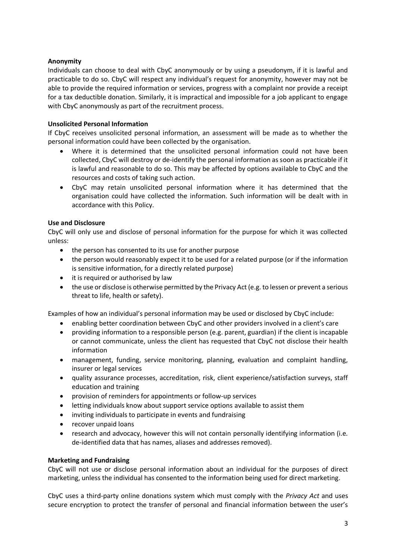## **Anonymity**

Individuals can choose to deal with CbyC anonymously or by using a pseudonym, if it is lawful and practicable to do so. CbyC will respect any individual's request for anonymity, however may not be able to provide the required information or services, progress with a complaint nor provide a receipt for a tax deductible donation. Similarly, it is impractical and impossible for a job applicant to engage with CbyC anonymously as part of the recruitment process.

## **Unsolicited Personal Information**

If CbyC receives unsolicited personal information, an assessment will be made as to whether the personal information could have been collected by the organisation.

- Where it is determined that the unsolicited personal information could not have been collected, CbyC will destroy or de-identify the personal information as soon as practicable if it is lawful and reasonable to do so. This may be affected by options available to CbyC and the resources and costs of taking such action.
- CbyC may retain unsolicited personal information where it has determined that the organisation could have collected the information. Such information will be dealt with in accordance with this Policy.

## **Use and Disclosure**

CbyC will only use and disclose of personal information for the purpose for which it was collected unless:

- the person has consented to its use for another purpose
- the person would reasonably expect it to be used for a related purpose (or if the information is sensitive information, for a directly related purpose)
- it is required or authorised by law
- the use or disclose is otherwise permitted by the Privacy Act (e.g. to lessen or prevent a serious threat to life, health or safety).

Examples of how an individual's personal information may be used or disclosed by CbyC include:

- enabling better coordination between CbyC and other providers involved in a client's care
- providing information to a responsible person (e.g. parent, guardian) if the client is incapable or cannot communicate, unless the client has requested that CbyC not disclose their health information
- management, funding, service monitoring, planning, evaluation and complaint handling, insurer or legal services
- quality assurance processes, accreditation, risk, client experience/satisfaction surveys, staff education and training
- provision of reminders for appointments or follow-up services
- letting individuals know about support service options available to assist them
- inviting individuals to participate in events and fundraising
- recover unpaid loans
- research and advocacy, however this will not contain personally identifying information (i.e. de-identified data that has names, aliases and addresses removed).

#### **Marketing and Fundraising**

CbyC will not use or disclose personal information about an individual for the purposes of direct marketing, unless the individual has consented to the information being used for direct marketing.

CbyC uses a third-party online donations system which must comply with the *Privacy Act* and uses secure encryption to protect the transfer of personal and financial information between the user's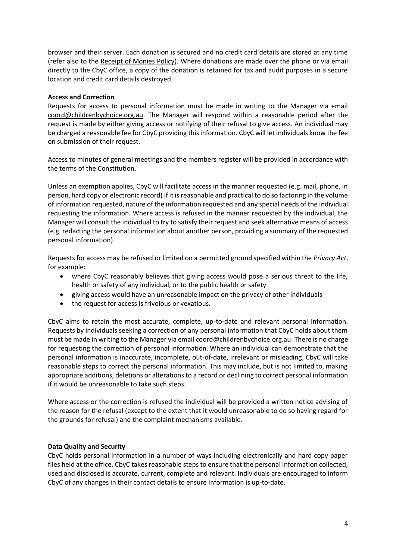browser and their server. Each donation is secured and no credit card details are stored at any time (refer also to the Receipt of Monies Policy). Where donations are made over the phone or via email directly to the CbyC office, a copy of the donation is retained for tax and audit purposes in a secure location and credit card details destroyed.

#### **Access and Correction**

Requests for access to personal information must be made in writing to the Manager via email [coord@childrenbychoice.org.au.](mailto:coord@childrenbychoice.org.au) The Manager will respond within a reasonable period after the request is made by either giving access or notifying of their refusal to give access. An individual may be charged a reasonable fee for CbyC providing this information. CbyC will let individuals know the fee on submission of their request.

Access to minutes of general meetings and the members register will be provided in accordance with the terms of the Constitution.

Unless an exemption applies, CbyC will facilitate access in the manner requested (e.g. mail, phone, in person, hard copy or electronic record) if it is reasonable and practical to do so factoring in the volume of information requested, nature of the information requested and any special needs of the individual requesting the information. Where access is refused in the manner requested by the individual, the Manager will consult the individual to try to satisfy their request and seek alternative means of access (e.g. redacting the personal information about another person, providing a summary of the requested personal information).

Requests for access may be refused or limited on a permitted ground specified within the *Privacy Act*, for example:

- where CbyC reasonably believes that giving access would pose a serious threat to the life, health or safety of any individual, or to the public health or safety
- giving access would have an unreasonable impact on the privacy of other individuals
- the request for access is frivolous or vexatious.

CbyC aims to retain the most accurate, complete, up-to-date and relevant personal information. Requests by individuals seeking a correction of any personal information that CbyC holds about them must be made in writing to the Manager via emai[l coord@childrenbychoice.org.au.](mailto:coord@childrebychoice.org.au) There is no charge for requesting the correction of personal information. Where an individual can demonstrate that the personal information is inaccurate, incomplete, out-of-date, irrelevant or misleading, CbyC will take reasonable steps to correct the personal information. This may include, but is not limited to, making appropriate additions, deletions or alterations to a record or declining to correct personal information if it would be unreasonable to take such steps.

Where access or the correction is refused the individual will be provided a written notice advising of the reason for the refusal (except to the extent that it would unreasonable to do so having regard for the grounds for refusal) and the complaint mechanisms available.

#### **Data Quality and Security**

CbyC holds personal information in a number of ways including electronically and hard copy paper files held at the office. CbyC takes reasonable steps to ensure that the personal information collected, used and disclosed is accurate, current, complete and relevant. Individuals are encouraged to inform CbyC of any changes in their contact details to ensure information is up-to-date.